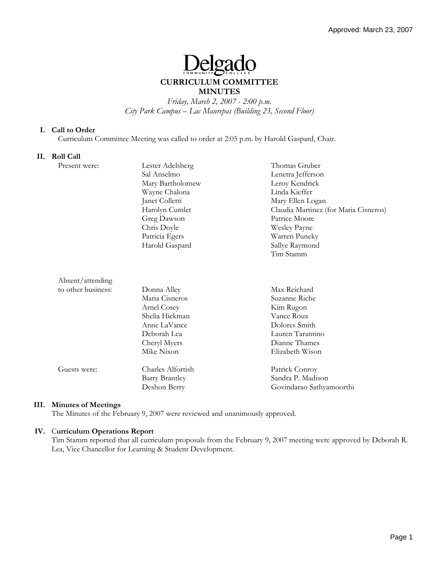# eloado

# **CURRICULUM COMMITTEE MINUTES**

*Friday, March 2, 2007 - 2:00 p.m. City Park Campus – Lac Maurepas (Building 23, Second Floor)* 

#### **I. Call to Order**

Curriculum Committee Meeting was called to order at 2:05 p.m. by Harold Gaspard, Chair.

#### **II. Roll Call**

| Present were:      | Lester Adelsberg      | Thomas Gruber                         |
|--------------------|-----------------------|---------------------------------------|
|                    | Sal Anselmo           | Lenetra Jefferson                     |
|                    | Mary Bartholomew      | Leroy Kendrick                        |
|                    | Wayne Chalona         | Linda Kieffer                         |
|                    | Janet Colletti        | Mary Ellen Logan                      |
|                    | Harolyn Cumlet        | Claudia Martinez (for Maria Cisneros) |
|                    | Greg Dawson           | Patrice Moore                         |
|                    | Chris Doyle           | <b>Wesley Payne</b>                   |
|                    | Patricia Egers        | Warren Puneky                         |
|                    | Harold Gaspard        | Sallye Raymond                        |
|                    |                       | Tim Stamm                             |
|                    |                       |                                       |
| Absent/attending   |                       |                                       |
| to other business: | Donna Alley           | Max Reichard                          |
|                    | Maria Cisneros        | Suzanne Riche                         |
|                    | Arnel Cosey           | Kim Rugon                             |
|                    | Shelia Hickman        | Vance Roux                            |
|                    | Anne LaVance          | Dolores Smith                         |
|                    | Deborah Lea           | Lauren Tarantino                      |
|                    | Cheryl Myers          | Dianne Thames                         |
|                    | Mike Nixon            | Elizabeth Wison                       |
| Guests were:       | Charles Alfortish     | Patrick Conroy                        |
|                    | <b>Barry Brantley</b> | Sandra P. Madison                     |
|                    | Deshon Berry          | Govindarao Sathyamoorthi              |

## **III. Minutes of Meetings**

The Minutes of the February 9, 2007 were reviewed and unanimously approved.

## **IV.** C**urriculum Operations Report**

Tim Stamm reported that all curriculum proposals from the February 9, 2007 meeting were approved by Deborah R. Lea, Vice Chancellor for Learning & Student Development.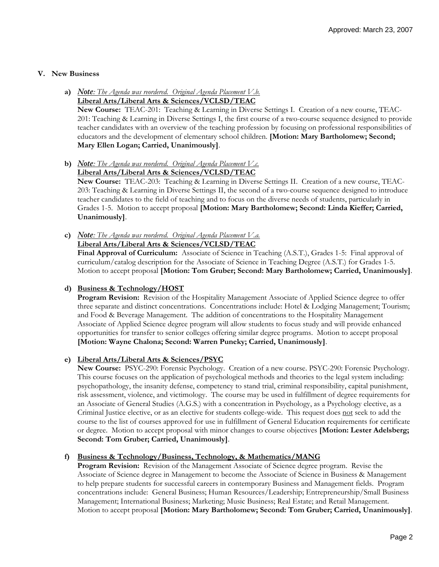#### **V. New Business**

- **a)** *Note: The Agenda was reordered. Original Agenda Placement V.b.* **Liberal Arts/Liberal Arts & Sciences/VCLSD/TEAC New Course:** TEAC-201: Teaching & Learning in Diverse Settings I. Creation of a new course, TEAC-201: Teaching & Learning in Diverse Settings I, the first course of a two-course sequence designed to provide teacher candidates with an overview of the teaching profession by focusing on professional responsibilities of educators and the development of elementary school children. **[Motion: Mary Bartholomew; Second; Mary Ellen Logan; Carried, Unanimously]**.
- **b)** *Note: The Agenda was reordered. Original Agenda Placement V.c.*

# **Liberal Arts/Liberal Arts & Sciences/VCLSD/TEAC**

**New Course:** TEAC-203: Teaching & Learning in Diverse Settings II. Creation of a new course, TEAC-203: Teaching & Learning in Diverse Settings II, the second of a two-course sequence designed to introduce teacher candidates to the field of teaching and to focus on the diverse needs of students, particularly in Grades 1-5. Motion to accept proposal **[Motion: Mary Bartholomew; Second: Linda Kieffer; Carried, Unanimously]**.

**c)** *Note: The Agenda was reordered. Original Agenda Placement V.a.* **Liberal Arts/Liberal Arts & Sciences/VCLSD/TEAC**

**Final Approval of Curriculum:** Associate of Science in Teaching (A.S.T.), Grades 1-5: Final approval of curriculum/catalog description for the Associate of Science in Teaching Degree (A.S.T.) for Grades 1-5. Motion to accept proposal **[Motion: Tom Gruber; Second: Mary Bartholomew; Carried, Unanimously]**.

**d) Business & Technology/HOST**

**Program Revision:** Revision of the Hospitality Management Associate of Applied Science degree to offer three separate and distinct concentrations. Concentrations include: Hotel & Lodging Management; Tourism; and Food & Beverage Management. The addition of concentrations to the Hospitality Management Associate of Applied Science degree program will allow students to focus study and will provide enhanced opportunities for transfer to senior colleges offering similar degree programs. Motion to accept proposal **[Motion: Wayne Chalona; Second: Warren Puneky; Carried, Unanimously]**.

## **e) Liberal Arts/Liberal Arts & Sciences/PSYC**

**New Course:** PSYC-290: Forensic Psychology. Creation of a new course. PSYC-290: Forensic Psychology. This course focuses on the application of psychological methods and theories to the legal system including: psychopathology, the insanity defense, competency to stand trial, criminal responsibility, capital punishment, risk assessment, violence, and victimology. The course may be used in fulfillment of degree requirements for an Associate of General Studies (A.G.S.) with a concentration in Psychology, as a Psychology elective, as a Criminal Justice elective, or as an elective for students college-wide. This request does not seek to add the course to the list of courses approved for use in fulfillment of General Education requirements for certificate or degree. Motion to accept proposal with minor changes to course objectives **[Motion: Lester Adelsberg; Second: Tom Gruber; Carried, Unanimously]**.

## **f) Business & Technology/Business, Technology, & Mathematics/MANG**

**Program Revision:** Revision of the Management Associate of Science degree program. Revise the Associate of Science degree in Management to become the Associate of Science in Business & Management to help prepare students for successful careers in contemporary Business and Management fields. Program concentrations include: General Business; Human Resources/Leadership; Entrepreneurship/Small Business Management; International Business; Marketing; Music Business; Real Estate; and Retail Management. Motion to accept proposal **[Motion: Mary Bartholomew; Second: Tom Gruber; Carried, Unanimously]**.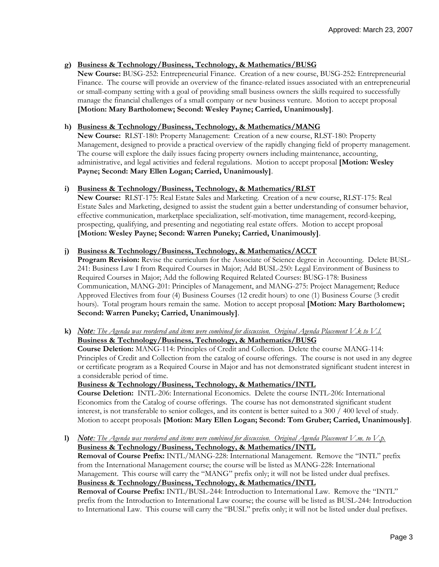## **g) Business & Technology/Business, Technology, & Mathematics/BUSG**

**New Course:** BUSG-252: Entrepreneurial Finance. Creation of a new course, BUSG-252: Entrepreneurial Finance. The course will provide an overview of the finance-related issues associated with an entrepreneurial or small-company setting with a goal of providing small business owners the skills required to successfully manage the financial challenges of a small company or new business venture. Motion to accept proposal **[Motion: Mary Bartholomew; Second: Wesley Payne; Carried, Unanimously]**.

## **h) Business & Technology/Business, Technology, & Mathematics/MANG**

**New Course:** RLST-180: Property Management: Creation of a new course, RLST-180: Property Management, designed to provide a practical overview of the rapidly changing field of property management. The course will explore the daily issues facing property owners including maintenance, accounting, administrative, and legal activities and federal regulations. Motion to accept proposal **[Motion: Wesley Payne; Second: Mary Ellen Logan; Carried, Unanimously]**.

#### **i) Business & Technology/Business, Technology, & Mathematics/RLST**

**New Course:** RLST-175: Real Estate Sales and Marketing. Creation of a new course, RLST-175: Real Estate Sales and Marketing, designed to assist the student gain a better understanding of consumer behavior, effective communication, marketplace specialization, self-motivation, time management, record-keeping, prospecting, qualifying, and presenting and negotiating real estate offers. Motion to accept proposal **[Motion: Wesley Payne; Second: Warren Puneky; Carried, Unanimously]**.

#### **j) Business & Technology/Business, Technology, & Mathematics/ACCT**

Program Revision: Revise the curriculum for the Associate of Science degree in Accounting. Delete BUSL-241: Business Law I from Required Courses in Major; Add BUSL-250: Legal Environment of Business to Required Courses in Major; Add the following Required Related Courses: BUSG-178: Business Communication, MANG-201: Principles of Management, and MANG-275: Project Management; Reduce Approved Electives from four (4) Business Courses (12 credit hours) to one (1) Business Course (3 credit hours). Total program hours remain the same. Motion to accept proposal **[Motion: Mary Bartholomew; Second: Warren Puneky; Carried, Unanimously]**.

**k)** *Note: The Agenda was reordered and items were combined for discussion. Original Agenda Placement V.k to V.l.* **Business & Technology/Business, Technology, & Mathematics/BUSG**

**Course Deletion:** MANG-114: Principles of Credit and Collection. Delete the course MANG-114: Principles of Credit and Collection from the catalog of course offerings. The course is not used in any degree or certificate program as a Required Course in Major and has not demonstrated significant student interest in a considerable period of time.

**Business & Technology/Business, Technology, & Mathematics/INTL**

**Course Deletion:** INTL-206: International Economics. Delete the course INTL-206: International Economics from the Catalog of course offerings. The course has not demonstrated significant student interest, is not transferable to senior colleges, and its content is better suited to a 300 / 400 level of study. Motion to accept proposals **[Motion: Mary Ellen Logan; Second: Tom Gruber; Carried, Unanimously]**.

**l)** *Note: The Agenda was reordered and items were combined for discussion. Original Agenda Placement V.m. to V.p.* **Business & Technology/Business, Technology, & Mathematics/INTL Removal of Course Prefix:** INTL/MANG-228: International Management. Remove the "INTL" prefix

from the International Management course; the course will be listed as MANG-228: International Management. This course will carry the "MANG" prefix only; it will not be listed under dual prefixes. **Business & Technology/Business, Technology, & Mathematics/INTL**

**Removal of Course Prefix:** INTL/BUSL-244: Introduction to International Law. Remove the "INTL" prefix from the Introduction to International Law course; the course will be listed as BUSL-244: Introduction to International Law. This course will carry the "BUSL" prefix only; it will not be listed under dual prefixes.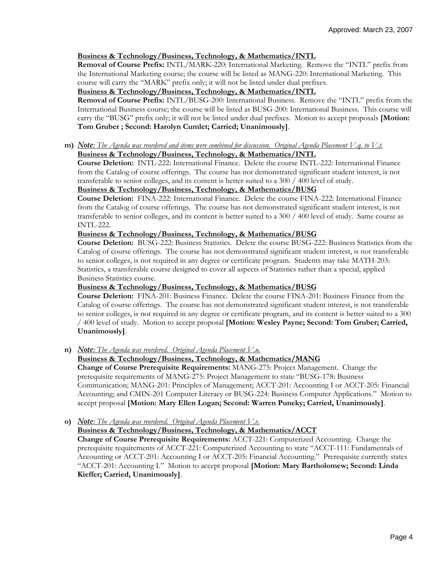## **Business & Technology/Business, Technology, & Mathematics/INTL**

**Removal of Course Prefix:** INTL/MARK-220: International Marketing. Remove the "INTL" prefix from the International Marketing course; the course will be listed as MANG-220: International Marketing. This course will carry the "MARK" prefix only; it will not be listed under dual prefixes.

#### **Business & Technology/Business, Technology, & Mathematics/INTL**

**Removal of Course Prefix:** INTL/BUSG-200: International Business. Remove the "INTL" prefix from the International Business course; the course will be listed as BUSG-200: International Business. This course will carry the "BUSG" prefix only; it will not be listed under dual prefixes. Motion to accept proposals **[Motion: Tom Gruber ; Second: Harolyn Cumlet; Carried; Unanimously]**.

**m)** *Note: The Agenda was reordered and items were combined for discussion. Original Agenda Placement V.q. to V.t.* **Business & Technology/Business, Technology, & Mathematics/INTL**

**Course Deletion:** INTL-222: International Finance. Delete the course INTL-222: International Finance from the Catalog of course offerings. The course has not demonstrated significant student interest, is not transferable to senior colleges, and its content is better suited to a 300 / 400 level of study.

#### **Business & Technology/Business, Technology, & Mathematics/BUSG**

**Course Deletion:** FINA-222: International Finance. Delete the course FINA-222: International Finance from the Catalog of course offerings. The course has not demonstrated significant student interest, is not transferable to senior colleges, and its content is better suited to a 300 / 400 level of study. Same course as INTL-222.

#### **Business & Technology/Business, Technology, & Mathematics/BUSG**

**Course Deletion:** BUSG-222: Business Statistics. Delete the course BUSG-222: Business Statistics from the Catalog of course offerings. The course has not demonstrated significant student interest, is not transferable to senior colleges, is not required in any degree or certificate program. Students may take MATH-203: Statistics, a transferable course designed to cover all aspects of Statistics rather than a special, applied Business Statistics course.

#### **Business & Technology/Business, Technology, & Mathematics/BUSG**

**Course Deletion:** FINA-201: Business Finance. Delete the course FINA-201: Business Finance from the Catalog of course offerings. The course has not demonstrated significant student interest, is not transferable to senior colleges, is not required in any degree or certificate program, and its content is better suited to a 300 / 400 level of study. Motion to accept proposal **[Motion: Wesley Payne; Second: Tom Gruber; Carried, Unanimously]**.

**n)** *Note: The Agenda was reordered. Original Agenda Placement V.u.*

# **Business & Technology/Business, Technology, & Mathematics/MANG**

**Change of Course Prerequisite Requirements:** MANG-275: Project Management. Change the prerequisite requirements of MANG-275: Project Management to state "BUSG-178: Business Communication; MANG-201: Principles of Management; ACCT-201: Accounting I or ACCT-205: Financial Accounting; and CMIN-201 Computer Literacy or BUSG-224: Business Computer Applications." Motion to accept proposal **[Motion: Mary Ellen Logan; Second: Warren Puneky; Carried, Unanimously]**.

**o)** *Note: The Agenda was reordered. Original Agenda Placement V.v.*

#### **Business & Technology/Business, Technology, & Mathematics/ACCT**

**Change of Course Prerequisite Requirements:** ACCT-221: Computerized Accounting. Change the prerequisite requirements of ACCT-221: Computerized Accounting to state "ACCT-111: Fundamentals of Accounting or ACCT-201: Accounting I or ACCT-205: Financial Accounting." Prerequisite currently states "ACCT-201: Accounting I." Motion to accept proposal **[Motion: Mary Bartholomew; Second: Linda Kieffer; Carried, Unanimously]**.